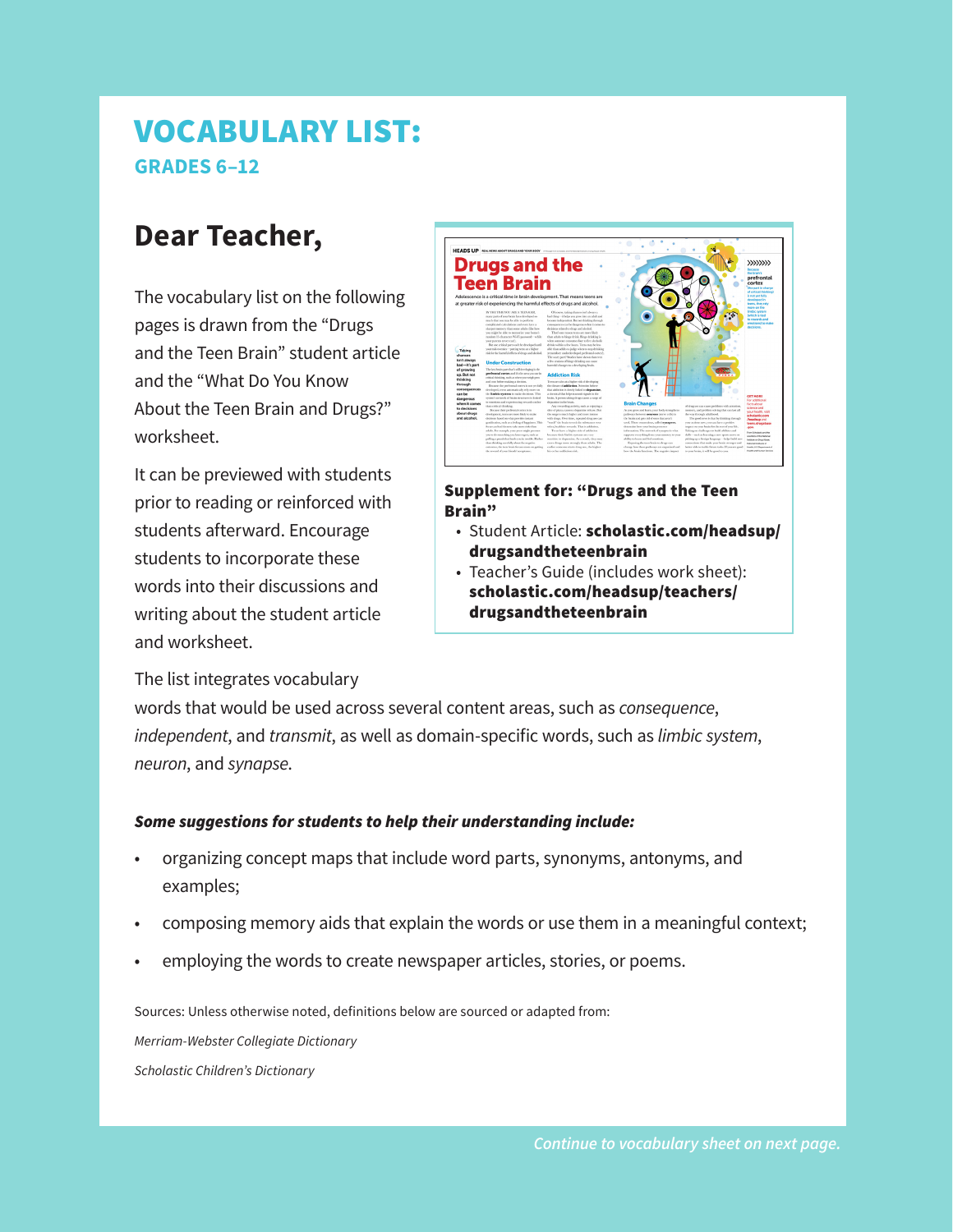## VOCABULARY LIST: **GRADES 6–12**

## **Dear Teacher,**

The vocabulary list on the following pages is drawn from the "Drugs and the Teen Brain" student article and the "What Do You Know About the Teen Brain and Drugs?" worksheet.

It can be previewed with students prior to reading or reinforced with students afterward. Encourage students to incorporate these words into their discussions and writing about the student article and worksheet.

The list integrates vocabulary

**Drugs and the** Teen Brain

Supplement for: "Drugs and the Teen Brain"

- Student Article: [scholastic.com/headsup/](http://scholastic.com/headsup/drugsandtheteenbrain) drugsandtheteenbrain
- Teacher's Guide (includes work sheet): [scholastic.com/headsup/teachers/](http://scholastic.com/headsup/teachers/drugsandtheteenbrain) drugsandtheteenbrain

words that would be used across several content areas, such as *consequence*, *independent*, and *transmit*, as well as domain-specific words, such as *limbic system*, *neuron*, and *synapse*.

## *Some suggestions for students to help their understanding include:*

- organizing concept maps that include word parts, synonyms, antonyms, and examples;
- composing memory aids that explain the words or use them in a meaningful context;
- employing the words to create newspaper articles, stories, or poems.

Sources: Unless otherwise noted, definitions below are sourced or adapted from:

*Merriam-Webster Collegiate Dictionary Scholastic Children's Dictionary*